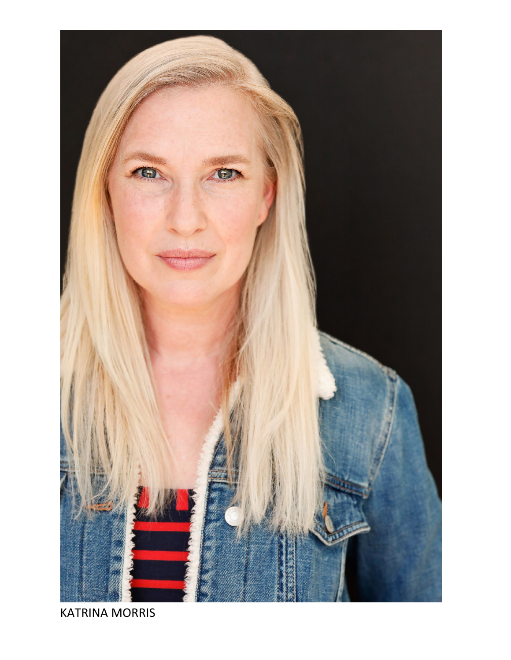

KATRINA MORRIS